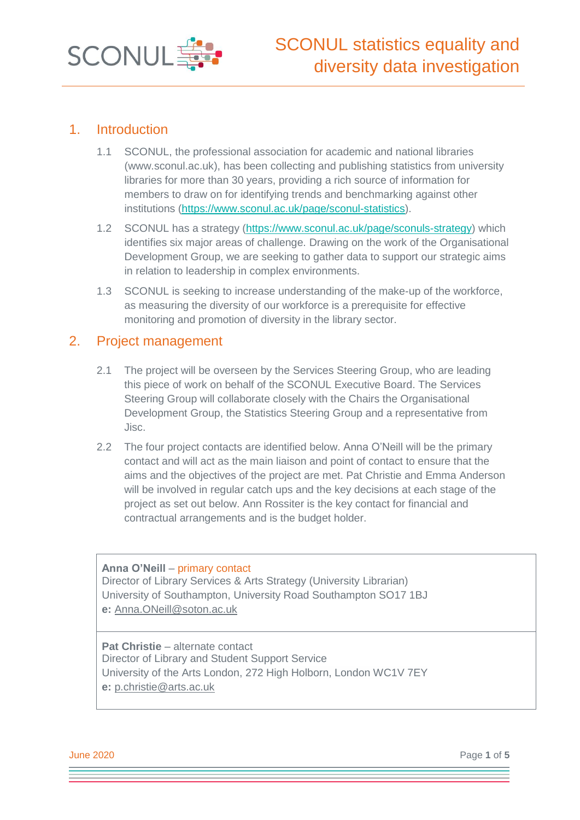

## 1. Introduction

- 1.1 SCONUL, the professional association for academic and national libraries [\(www.sconul.ac.uk\)](http://www.sconul.ac.uk/), has been collecting and publishing statistics from university libraries for more than 30 years, providing a rich source of information for members to draw on for identifying trends and benchmarking against other institutions [\(https://www.sconul.ac.uk/page/sconul-statistics\)](https://www.sconul.ac.uk/page/sconul-statistics).
- 1.2 SCONUL has a strategy [\(https://www.sconul.ac.uk/page/sconuls-strategy\)](https://www.sconul.ac.uk/page/sconuls-strategy) which identifies six major areas of challenge. Drawing on the work of the Organisational Development Group, we are seeking to gather data to support our strategic aims in relation to leadership in complex environments.
- 1.3 SCONUL is seeking to increase understanding of the make-up of the workforce, as measuring the diversity of our workforce is a prerequisite for effective monitoring and promotion of diversity in the library sector.

#### 2. Project management

- 2.1 The project will be overseen by the Services Steering Group, who are leading this piece of work on behalf of the SCONUL Executive Board. The Services Steering Group will collaborate closely with the Chairs the Organisational Development Group, the Statistics Steering Group and a representative from Jisc.
- 2.2 The four project contacts are identified below. Anna O'Neill will be the primary contact and will act as the main liaison and point of contact to ensure that the aims and the objectives of the project are met. Pat Christie and Emma Anderson will be involved in regular catch ups and the key decisions at each stage of the project as set out below. Ann Rossiter is the key contact for financial and contractual arrangements and is the budget holder.

#### **Anna O'Neill** – primary contact

Director of Library Services & Arts Strategy (University Librarian) University of Southampton, University Road Southampton SO17 1BJ **e:** Anna.ONeill@soton.ac.uk

#### **Pat Christie** – alternate contact Director of Library and Student Support Service University of the Arts London, 272 High Holborn, London WC1V 7EY **e:** p.christie@arts.ac.uk

**June 2020** Page 1 of 5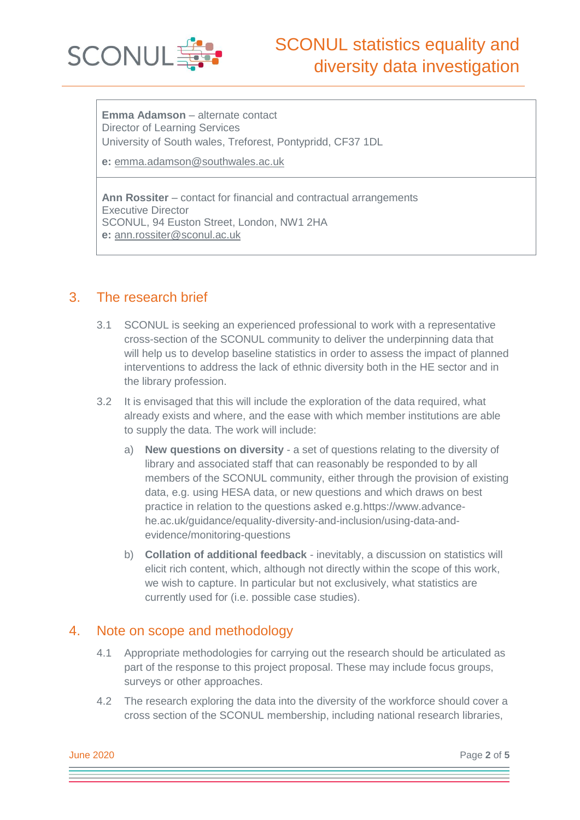

**Emma Adamson** – alternate contact Director of Learning Services University of South wales, Treforest, Pontypridd, CF37 1DL

**e:** emma.adamson@southwales.ac.uk

**Ann Rossiter** – contact for financial and contractual arrangements Executive Director SCONUL, 94 Euston Street, London, NW1 2HA **e:** [ann.rossiter@sconul.ac.uk](mailto:ann.rossiter@sconul.ac.uk)

## 3. The research brief

- 3.1 SCONUL is seeking an experienced professional to work with a representative cross-section of the SCONUL community to deliver the underpinning data that will help us to develop baseline statistics in order to assess the impact of planned interventions to address the lack of ethnic diversity both in the HE sector and in the library profession.
- 3.2 It is envisaged that this will include the exploration of the data required, what already exists and where, and the ease with which member institutions are able to supply the data. The work will include:
	- a) **New questions on diversity** a set of questions relating to the diversity of library and associated staff that can reasonably be responded to by all members of the SCONUL community, either through the provision of existing data, e.g. using HESA data, or new questions and which draws on best practice in relation to the questions asked e.g[.https://www.advance](https://eur03.safelinks.protection.outlook.com/?url=https%3A%2F%2Fwww.advance-he.ac.uk%2Fguidance%2Fequality-diversity-and-inclusion%2Fusing-data-and-evidence%2Fmonitoring-questions&data=01%7C01%7CAnna.ONeill%40SOTON.AC.UK%7C2e024e13cee947a2178808d79a9c4b5f%7C4a5378f929f44d3ebe89669d03ada9d8%7C0&sdata=VIoZht2XMEmDVSimw2UP5o9%2BcgPzhvcUxrGXDtwjwFc%3D&reserved=0)[he.ac.uk/guidance/equality-diversity-and-inclusion/using-data-and](https://eur03.safelinks.protection.outlook.com/?url=https%3A%2F%2Fwww.advance-he.ac.uk%2Fguidance%2Fequality-diversity-and-inclusion%2Fusing-data-and-evidence%2Fmonitoring-questions&data=01%7C01%7CAnna.ONeill%40SOTON.AC.UK%7C2e024e13cee947a2178808d79a9c4b5f%7C4a5378f929f44d3ebe89669d03ada9d8%7C0&sdata=VIoZht2XMEmDVSimw2UP5o9%2BcgPzhvcUxrGXDtwjwFc%3D&reserved=0)[evidence/monitoring-questions](https://eur03.safelinks.protection.outlook.com/?url=https%3A%2F%2Fwww.advance-he.ac.uk%2Fguidance%2Fequality-diversity-and-inclusion%2Fusing-data-and-evidence%2Fmonitoring-questions&data=01%7C01%7CAnna.ONeill%40SOTON.AC.UK%7C2e024e13cee947a2178808d79a9c4b5f%7C4a5378f929f44d3ebe89669d03ada9d8%7C0&sdata=VIoZht2XMEmDVSimw2UP5o9%2BcgPzhvcUxrGXDtwjwFc%3D&reserved=0)
	- b) **Collation of additional feedback** inevitably, a discussion on statistics will elicit rich content, which, although not directly within the scope of this work, we wish to capture. In particular but not exclusively, what statistics are currently used for (i.e. possible case studies).

## 4. Note on scope and methodology

- 4.1 Appropriate methodologies for carrying out the research should be articulated as part of the response to this project proposal. These may include focus groups, surveys or other approaches.
- 4.2 The research exploring the data into the diversity of the workforce should cover a cross section of the SCONUL membership, including national research libraries,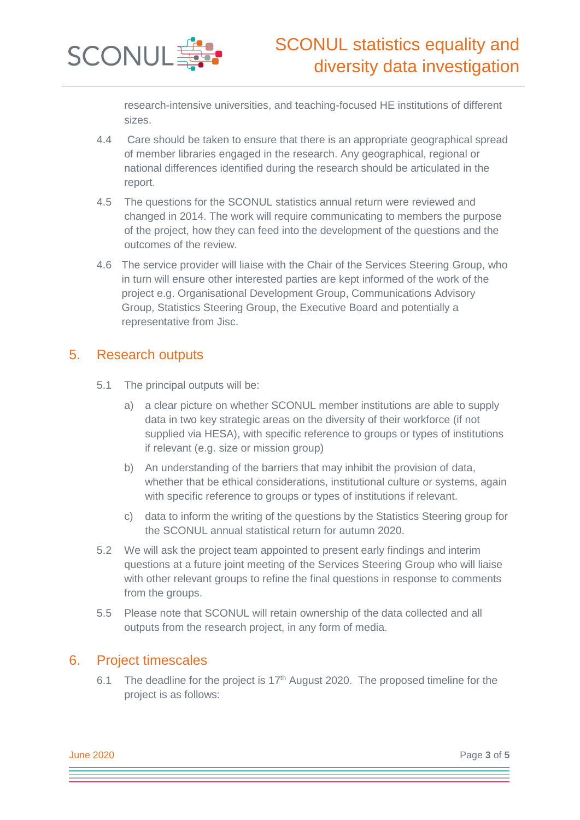

research-intensive universities, and teaching-focused HE institutions of different sizes.

- 4.4 Care should be taken to ensure that there is an appropriate geographical spread of member libraries engaged in the research. Any geographical, regional or national differences identified during the research should be articulated in the report.
- 4.5 The questions for the SCONUL statistics annual return were reviewed and changed in 2014. The work will require communicating to members the purpose of the project, how they can feed into the development of the questions and the outcomes of the review.
- 4.6 The service provider will liaise with the Chair of the Services Steering Group, who in turn will ensure other interested parties are kept informed of the work of the project e.g. Organisational Development Group, Communications Advisory Group, Statistics Steering Group, the Executive Board and potentially a representative from Jisc.

## 5. Research outputs

- 5.1 The principal outputs will be:
	- a) a clear picture on whether SCONUL member institutions are able to supply data in two key strategic areas on the diversity of their workforce (if not supplied via HESA), with specific reference to groups or types of institutions if relevant (e.g. size or mission group)
	- b) An understanding of the barriers that may inhibit the provision of data, whether that be ethical considerations, institutional culture or systems, again with specific reference to groups or types of institutions if relevant.
	- c) data to inform the writing of the questions by the Statistics Steering group for the SCONUL annual statistical return for autumn 2020.
- 5.2 We will ask the project team appointed to present early findings and interim questions at a future joint meeting of the Services Steering Group who will liaise with other relevant groups to refine the final questions in response to comments from the groups.
- 5.5 Please note that SCONUL will retain ownership of the data collected and all outputs from the research project, in any form of media.

## 6. Project timescales

6.1 The deadline for the project is  $17<sup>th</sup>$  August 2020. The proposed timeline for the project is as follows: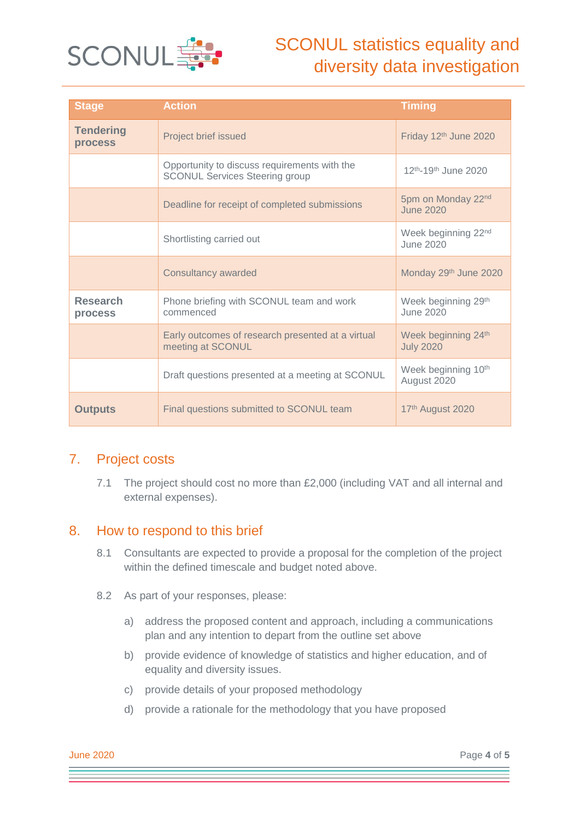

# SCONUL statistics equality and diversity data investigation

| <b>Stage</b>                | <b>Action</b>                                                                         | <b>Timing</b>                                |
|-----------------------------|---------------------------------------------------------------------------------------|----------------------------------------------|
| <b>Tendering</b><br>process | Project brief issued                                                                  | Friday 12th June 2020                        |
|                             | Opportunity to discuss requirements with the<br><b>SCONUL Services Steering group</b> | 12 <sup>th</sup> -19 <sup>th</sup> June 2020 |
|                             | Deadline for receipt of completed submissions                                         | 5pm on Monday 22nd<br><b>June 2020</b>       |
|                             | Shortlisting carried out                                                              | Week beginning 22nd<br>June 2020             |
|                             | Consultancy awarded                                                                   | Monday 29th June 2020                        |
| <b>Research</b><br>process  | Phone briefing with SCONUL team and work<br>commenced                                 | Week beginning 29th<br>June 2020             |
|                             | Early outcomes of research presented at a virtual<br>meeting at SCONUL                | Week beginning 24th<br><b>July 2020</b>      |
|                             | Draft questions presented at a meeting at SCONUL                                      | Week beginning 10th<br>August 2020           |
| <b>Outputs</b>              | Final questions submitted to SCONUL team                                              | 17th August 2020                             |

## 7. Project costs

7.1 The project should cost no more than £2,000 (including VAT and all internal and external expenses).

## 8. How to respond to this brief

- 8.1 Consultants are expected to provide a proposal for the completion of the project within the defined timescale and budget noted above.
- 8.2 As part of your responses, please:
	- a) address the proposed content and approach, including a communications plan and any intention to depart from the outline set above
	- b) provide evidence of knowledge of statistics and higher education, and of equality and diversity issues.
	- c) provide details of your proposed methodology
	- d) provide a rationale for the methodology that you have proposed